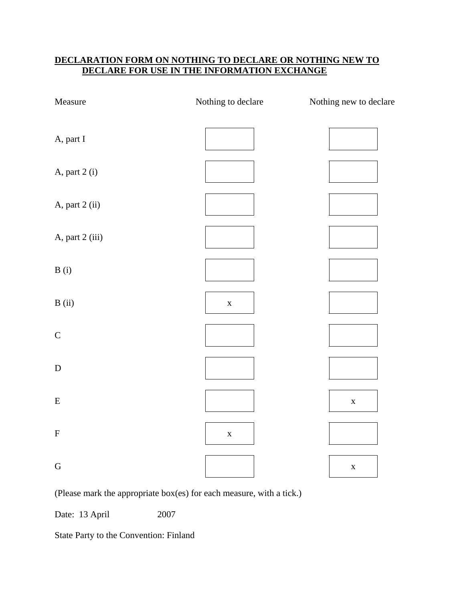## **DECLARATION FORM ON NOTHING TO DECLARE OR NOTHING NEW TO DECLARE FOR USE IN THE INFORMATION EXCHANGE**

| Measure         | Nothing to declare | Nothing new to declare |
|-----------------|--------------------|------------------------|
| A, part I       |                    |                        |
| A, part 2 (i)   |                    |                        |
| A, part 2 (ii)  |                    |                        |
| A, part 2 (iii) |                    |                        |
| B(i)            |                    |                        |
| B(i)            | $\mathbf X$        |                        |
| $\mathsf{C}$    |                    |                        |
| ${\bf D}$       |                    |                        |
| ${\bf E}$       |                    | $\mathbf X$            |
| ${\bf F}$       | $\mathbf X$        |                        |
| ${\bf G}$       |                    | $\mathbf X$            |

(Please mark the appropriate box(es) for each measure, with a tick.)

Date: 13 April 2007

State Party to the Convention: Finland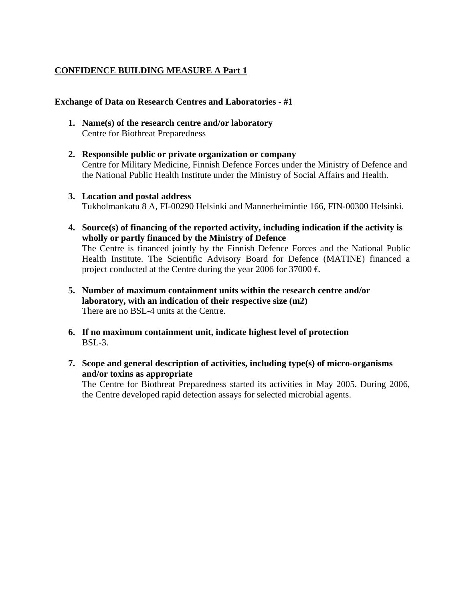## **CONFIDENCE BUILDING MEASURE A Part 1**

### **Exchange of Data on Research Centres and Laboratories - #1**

- **1. Name(s) of the research centre and/or laboratory**  Centre for Biothreat Preparedness
- **2. Responsible public or private organization or company**  Centre for Military Medicine, Finnish Defence Forces under the Ministry of Defence and the National Public Health Institute under the Ministry of Social Affairs and Health.
- **3. Location and postal address**  Tukholmankatu 8 A, FI-00290 Helsinki and Mannerheimintie 166, FIN-00300 Helsinki.
- **4. Source(s) of financing of the reported activity, including indication if the activity is wholly or partly financed by the Ministry of Defence**  The Centre is financed jointly by the Finnish Defence Forces and the National Public

Health Institute. The Scientific Advisory Board for Defence (MATINE) financed a project conducted at the Centre during the year 2006 for 37000  $\in$ 

- **5. Number of maximum containment units within the research centre and/or laboratory, with an indication of their respective size (m2)**  There are no BSL-4 units at the Centre.
- **6. If no maximum containment unit, indicate highest level of protection**  BSL-3.
- **7. Scope and general description of activities, including type(s) of micro-organisms and/or toxins as appropriate**

The Centre for Biothreat Preparedness started its activities in May 2005. During 2006, the Centre developed rapid detection assays for selected microbial agents.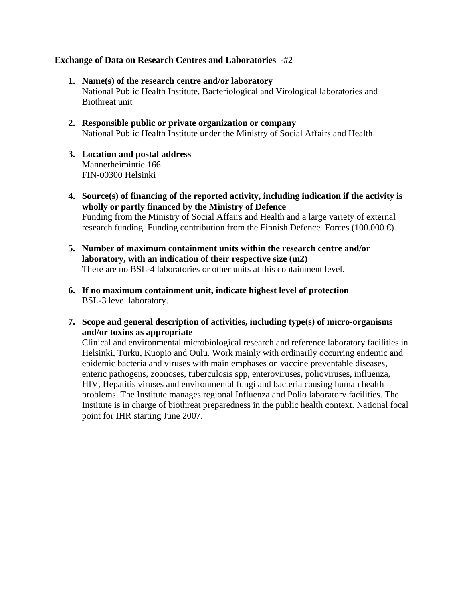### **Exchange of Data on Research Centres and Laboratories -#2**

- **1. Name(s) of the research centre and/or laboratory**  National Public Health Institute, Bacteriological and Virological laboratories and Biothreat unit
- **2. Responsible public or private organization or company**  National Public Health Institute under the Ministry of Social Affairs and Health
- **3. Location and postal address**  Mannerheimintie 166 FIN-00300 Helsinki
- **4. Source(s) of financing of the reported activity, including indication if the activity is wholly or partly financed by the Ministry of Defence**  Funding from the Ministry of Social Affairs and Health and a large variety of external research funding. Funding contribution from the Finnish Defence Forces (100.000  $\oplus$ ).
- **5. Number of maximum containment units within the research centre and/or laboratory, with an indication of their respective size (m2)**  There are no BSL-4 laboratories or other units at this containment level.
- **6. If no maximum containment unit, indicate highest level of protection**  BSL-3 level laboratory.
- **7. Scope and general description of activities, including type(s) of micro-organisms and/or toxins as appropriate**

Clinical and environmental microbiological research and reference laboratory facilities in Helsinki, Turku, Kuopio and Oulu. Work mainly with ordinarily occurring endemic and epidemic bacteria and viruses with main emphases on vaccine preventable diseases, enteric pathogens, zoonoses, tuberculosis spp, enteroviruses, polioviruses, influenza, HIV, Hepatitis viruses and environmental fungi and bacteria causing human health problems. The Institute manages regional Influenza and Polio laboratory facilities. The Institute is in charge of biothreat preparedness in the public health context. National focal point for IHR starting June 2007.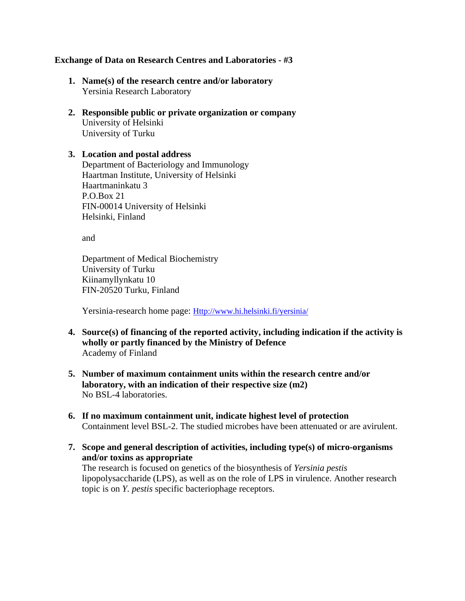### **Exchange of Data on Research Centres and Laboratories - #3**

- **1. Name(s) of the research centre and/or laboratory**  Yersinia Research Laboratory
- **2. Responsible public or private organization or company**  University of Helsinki University of Turku

### **3. Location and postal address**  Department of Bacteriology and Immunology Haartman Institute, University of Helsinki Haartmaninkatu 3 P.O.Box 21 FIN-00014 University of Helsinki Helsinki, Finland

and

Department of Medical Biochemistry University of Turku Kiinamyllynkatu 10 FIN-20520 Turku, Finland

Yersinia-research home page: Http://www.hi.helsinki.fi/yersinia/

- **4. Source(s) of financing of the reported activity, including indication if the activity is wholly or partly financed by the Ministry of Defence**  Academy of Finland
- **5. Number of maximum containment units within the research centre and/or laboratory, with an indication of their respective size (m2)**  No BSL-4 laboratories.
- **6. If no maximum containment unit, indicate highest level of protection**  Containment level BSL-2. The studied microbes have been attenuated or are avirulent.
- **7. Scope and general description of activities, including type(s) of micro-organisms and/or toxins as appropriate**

The research is focused on genetics of the biosynthesis of *Yersinia pestis* lipopolysaccharide (LPS), as well as on the role of LPS in virulence. Another research topic is on *Y. pestis* specific bacteriophage receptors.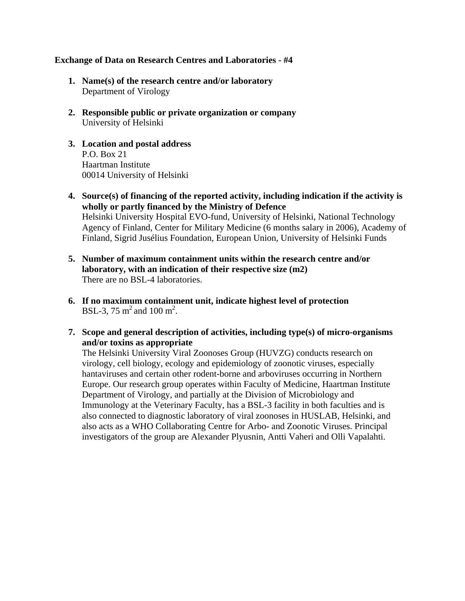### **Exchange of Data on Research Centres and Laboratories - #4**

- **1. Name(s) of the research centre and/or laboratory**  Department of Virology
- **2. Responsible public or private organization or company**  University of Helsinki
- **3. Location and postal address**  P.O. Box 21 Haartman Institute 00014 University of Helsinki
- **4. Source(s) of financing of the reported activity, including indication if the activity is wholly or partly financed by the Ministry of Defence**  Helsinki University Hospital EVO-fund, University of Helsinki, National Technology Agency of Finland, Center for Military Medicine (6 months salary in 2006), Academy of Finland, Sigrid Jusélius Foundation, European Union, University of Helsinki Funds
- **5. Number of maximum containment units within the research centre and/or laboratory, with an indication of their respective size (m2)**  There are no BSL-4 laboratories.
- **6. If no maximum containment unit, indicate highest level of protection**  BSL-3, 75 m<sup>2</sup> and 100 m<sup>2</sup>.
- **7. Scope and general description of activities, including type(s) of micro-organisms and/or toxins as appropriate**

The Helsinki University Viral Zoonoses Group (HUVZG) conducts research on virology, cell biology, ecology and epidemiology of zoonotic viruses, especially hantaviruses and certain other rodent-borne and arboviruses occurring in Northern Europe. Our research group operates within Faculty of Medicine, Haartman Institute Department of Virology, and partially at the Division of Microbiology and Immunology at the Veterinary Faculty, has a BSL-3 facility in both faculties and is also connected to diagnostic laboratory of viral zoonoses in HUSLAB, Helsinki, and also acts as a WHO Collaborating Centre for Arbo- and Zoonotic Viruses. Principal investigators of the group are Alexander Plyusnin, Antti Vaheri and Olli Vapalahti.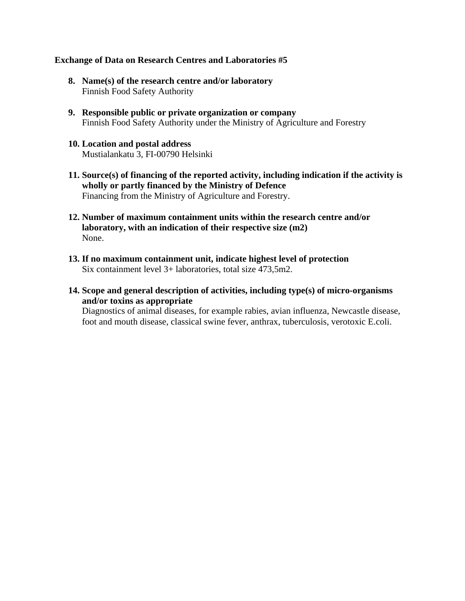### **Exchange of Data on Research Centres and Laboratories #5**

- **8. Name(s) of the research centre and/or laboratory**  Finnish Food Safety Authority
- **9. Responsible public or private organization or company**  Finnish Food Safety Authority under the Ministry of Agriculture and Forestry
- **10. Location and postal address**  Mustialankatu 3, FI-00790 Helsinki
- **11. Source(s) of financing of the reported activity, including indication if the activity is wholly or partly financed by the Ministry of Defence**  Financing from the Ministry of Agriculture and Forestry.
- **12. Number of maximum containment units within the research centre and/or laboratory, with an indication of their respective size (m2)**  None.
- **13. If no maximum containment unit, indicate highest level of protection**  Six containment level 3+ laboratories, total size 473,5m2.
- **14. Scope and general description of activities, including type(s) of micro-organisms and/or toxins as appropriate**

Diagnostics of animal diseases, for example rabies, avian influenza, Newcastle disease, foot and mouth disease, classical swine fever, anthrax, tuberculosis, verotoxic E.coli.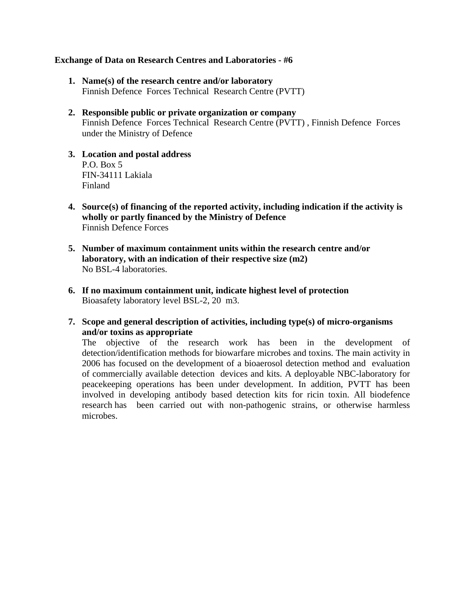#### **Exchange of Data on Research Centres and Laboratories - #6**

- **1. Name(s) of the research centre and/or laboratory**  Finnish Defence Forces Technical Research Centre (PVTT)
- **2. Responsible public or private organization or company**  Finnish Defence Forces Technical Research Centre (PVTT) , Finnish Defence Forces under the Ministry of Defence
- **3. Location and postal address**  P.O. Box 5 FIN-34111 Lakiala Finland
- **4. Source(s) of financing of the reported activity, including indication if the activity is wholly or partly financed by the Ministry of Defence**  Finnish Defence Forces
- **5. Number of maximum containment units within the research centre and/or laboratory, with an indication of their respective size (m2)**  No BSL-4 laboratories.
- **6. If no maximum containment unit, indicate highest level of protection**  Bioasafety laboratory level BSL-2, 20 m3.
- **7. Scope and general description of activities, including type(s) of micro-organisms and/or toxins as appropriate**

The objective of the research work has been in the development of detection/identification methods for biowarfare microbes and toxins. The main activity in 2006 has focused on the development of a bioaerosol detection method and evaluation of commercially available detection devices and kits. A deployable NBC-laboratory for peacekeeping operations has been under development. In addition, PVTT has been involved in developing antibody based detection kits for ricin toxin. All biodefence research has been carried out with non-pathogenic strains, or otherwise harmless microbes.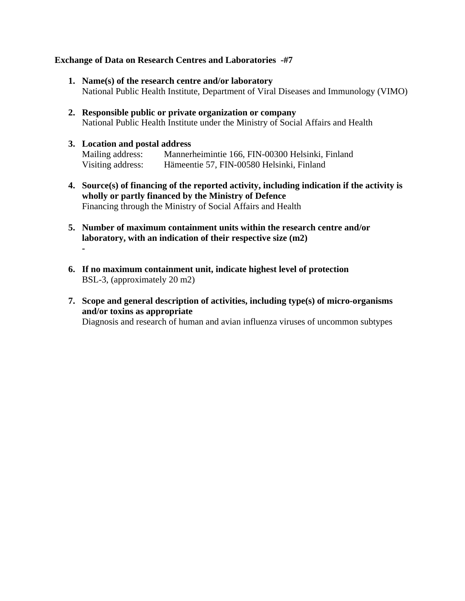### **Exchange of Data on Research Centres and Laboratories -#7**

- **1. Name(s) of the research centre and/or laboratory**  National Public Health Institute, Department of Viral Diseases and Immunology (VIMO)
- **2. Responsible public or private organization or company**  National Public Health Institute under the Ministry of Social Affairs and Health

## **3. Location and postal address**

**-** 

Mailing address: Mannerheimintie 166, FIN-00300 Helsinki, Finland Visiting address: Hämeentie 57, FIN-00580 Helsinki, Finland

- **4. Source(s) of financing of the reported activity, including indication if the activity is wholly or partly financed by the Ministry of Defence**  Financing through the Ministry of Social Affairs and Health
- **5. Number of maximum containment units within the research centre and/or laboratory, with an indication of their respective size (m2)**
- **6. If no maximum containment unit, indicate highest level of protection**  BSL-3, (approximately 20 m2)
- **7. Scope and general description of activities, including type(s) of micro-organisms and/or toxins as appropriate**  Diagnosis and research of human and avian influenza viruses of uncommon subtypes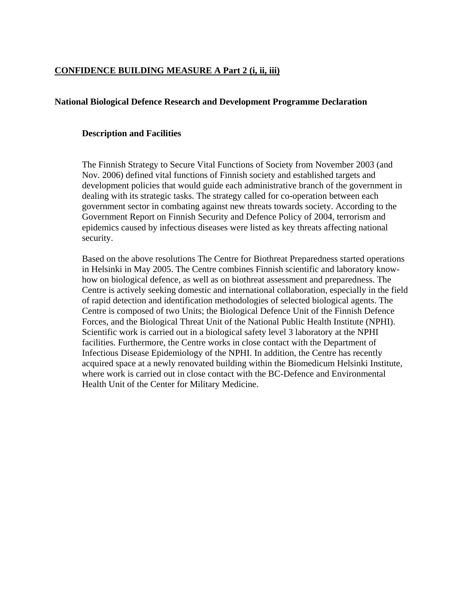## **CONFIDENCE BUILDING MEASURE A Part 2 (i, ii, iii)**

#### **National Biological Defence Research and Development Programme Declaration**

#### **Description and Facilities**

The Finnish Strategy to Secure Vital Functions of Society from November 2003 (and Nov. 2006) defined vital functions of Finnish society and established targets and development policies that would guide each administrative branch of the government in dealing with its strategic tasks. The strategy called for co-operation between each government sector in combating against new threats towards society. According to the Government Report on Finnish Security and Defence Policy of 2004, terrorism and epidemics caused by infectious diseases were listed as key threats affecting national security.

Based on the above resolutions The Centre for Biothreat Preparedness started operations in Helsinki in May 2005. The Centre combines Finnish scientific and laboratory knowhow on biological defence, as well as on biothreat assessment and preparedness. The Centre is actively seeking domestic and international collaboration, especially in the field of rapid detection and identification methodologies of selected biological agents. The Centre is composed of two Units; the Biological Defence Unit of the Finnish Defence Forces, and the Biological Threat Unit of the National Public Health Institute (NPHI). Scientific work is carried out in a biological safety level 3 laboratory at the NPHI facilities. Furthermore, the Centre works in close contact with the Department of Infectious Disease Epidemiology of the NPHI. In addition, the Centre has recently acquired space at a newly renovated building within the Biomedicum Helsinki Institute, where work is carried out in close contact with the BC-Defence and Environmental Health Unit of the Center for Military Medicine.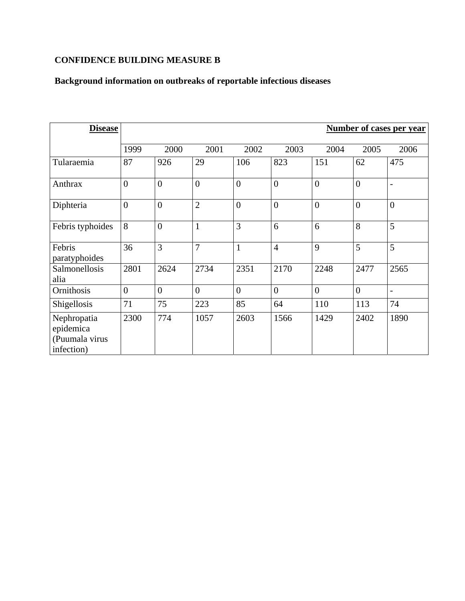## **CONFIDENCE BUILDING MEASURE B**

# **Background information on outbreaks of reportable infectious diseases**

| <b>Disease</b>                                           | <b>Number of cases per year</b> |                |                |                |                |                |                |                          |
|----------------------------------------------------------|---------------------------------|----------------|----------------|----------------|----------------|----------------|----------------|--------------------------|
|                                                          | 1999                            | 2000           | 2001           | 2002           | 2003           | 2004           | 2005           | 2006                     |
| Tularaemia                                               | 87                              | 926            | 29             | 106            | 823            | 151            | 62             | 475                      |
| Anthrax                                                  | $\overline{0}$                  | $\overline{0}$ | $\overline{0}$ | $\overline{0}$ | $\overline{0}$ | $\overline{0}$ | $\theta$       | $\overline{\phantom{a}}$ |
| Diphteria                                                | $\overline{0}$                  | $\overline{0}$ | $\overline{2}$ | $\overline{0}$ | $\overline{0}$ | $\theta$       | $\theta$       | $\overline{0}$           |
| Febris typhoides                                         | 8                               | $\overline{0}$ | 1              | 3              | 6              | 6              | 8              | 5                        |
| Febris<br>paratyphoides                                  | 36                              | 3              | $\overline{7}$ | $\mathbf{1}$   | $\overline{4}$ | 9              | 5              | 5                        |
| Salmonellosis<br>alia                                    | 2801                            | 2624           | 2734           | 2351           | 2170           | 2248           | 2477           | 2565                     |
| Ornithosis                                               | $\overline{0}$                  | $\overline{0}$ | $\overline{0}$ | $\overline{0}$ | $\overline{0}$ | $\overline{0}$ | $\overline{0}$ | $\overline{\phantom{a}}$ |
| Shigellosis                                              | 71                              | 75             | 223            | 85             | 64             | 110            | 113            | 74                       |
| Nephropatia<br>epidemica<br>(Puumala virus<br>infection) | 2300                            | 774            | 1057           | 2603           | 1566           | 1429           | 2402           | 1890                     |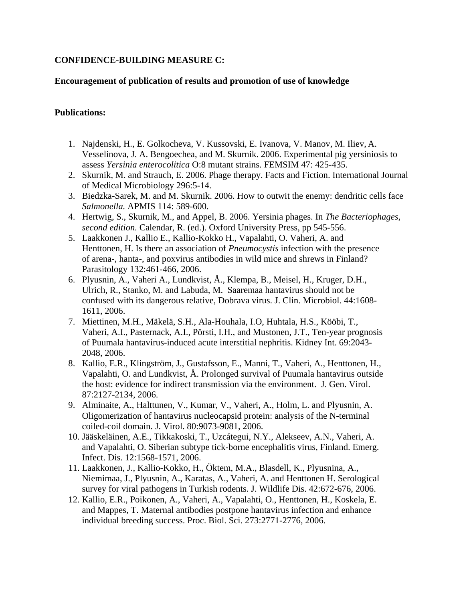## **CONFIDENCE-BUILDING MEASURE C:**

## **Encouragement of publication of results and promotion of use of knowledge**

## **Publications:**

- 1. Najdenski, H., E. Golkocheva, V. Kussovski, E. Ivanova, V. Manov, M. Iliev, A. Vesselinova, J. A. Bengoechea, and M. Skurnik. 2006. Experimental pig yersiniosis to assess *Yersinia enterocolitica* O:8 mutant strains. FEMSIM 47: 425-435.
- 2. Skurnik, M. and Strauch, E. 2006. Phage therapy. Facts and Fiction. International Journal of Medical Microbiology 296:5-14.
- 3. Biedzka-Sarek, M. and M. Skurnik. 2006. How to outwit the enemy: dendritic cells face *Salmonella.* APMIS 114: 589-600.
- 4. Hertwig, S., Skurnik, M., and Appel, B. 2006. Yersinia phages. In *The Bacteriophages, second edition.* Calendar, R. (ed.). Oxford University Press, pp 545-556.
- 5. Laakkonen J., Kallio E., Kallio-Kokko H., Vapalahti, O. Vaheri, A. and Henttonen, H. Is there an association of *Pneumocystis* infection with the presence of arena-, hanta-, and poxvirus antibodies in wild mice and shrews in Finland? Parasitology 132:461-466, 2006.
- 6. Plyusnin, A., Vaheri A., Lundkvist, Å., Klempa, B., Meisel, H., Kruger, D.H., Ulrich, R., Stanko, M. and Labuda, M. Saaremaa hantavirus should not be confused with its dangerous relative, Dobrava virus. J. Clin. Microbiol. 44:1608- 1611, 2006.
- 7. Miettinen, M.H., Mäkelä, S.H., Ala-Houhala, I.O, Huhtala, H.S., Kööbi, T., Vaheri, A.I., Pasternack, A.I., Pörsti, I.H., and Mustonen, J.T., Ten-year prognosis of Puumala hantavirus-induced acute interstitial nephritis. Kidney Int. 69:2043- 2048, 2006.
- 8. Kallio, E.R., Klingström, J., Gustafsson, E., Manni, T., Vaheri, A., Henttonen, H., Vapalahti, O. and Lundkvist, Å. Prolonged survival of Puumala hantavirus outside the host: evidence for indirect transmission via the environment. J. Gen. Virol. 87:2127-2134, 2006.
- 9. Alminaite, A., Halttunen, V., Kumar, V., Vaheri, A., Holm, L. and Plyusnin, A. Oligomerization of hantavirus nucleocapsid protein: analysis of the N-terminal coiled-coil domain. J. Virol. 80:9073-9081, 2006.
- 10. Jääskeläinen, A.E., Tikkakoski, T., Uzcátegui, N.Y., Alekseev, A.N., Vaheri, A. and Vapalahti, O. Siberian subtype tick-borne encephalitis virus, Finland. Emerg. Infect. Dis. 12:1568-1571, 2006.
- 11. Laakkonen, J., Kallio-Kokko, H., Öktem, M.A., Blasdell, K., Plyusnina, A., Niemimaa, J., Plyusnin, A., Karatas, A., Vaheri, A. and Henttonen H. Serological survey for viral pathogens in Turkish rodents. J. Wildlife Dis. 42:672-676, 2006.
- 12. Kallio, E.R., Poikonen, A., Vaheri, A., Vapalahti, O., Henttonen, H., Koskela, E. and Mappes, T. Maternal antibodies postpone hantavirus infection and enhance individual breeding success. Proc. Biol. Sci. 273:2771-2776, 2006.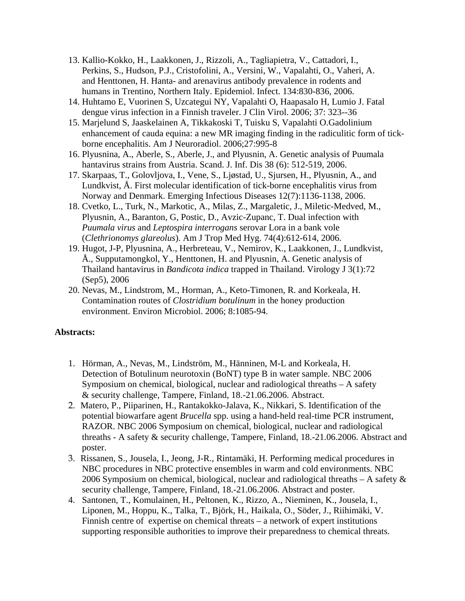- 13. Kallio-Kokko, H., Laakkonen, J., Rizzoli, A., Tagliapietra, V., Cattadori, I., Perkins, S., Hudson, P.J., Cristofolini, A., Versini, W., Vapalahti, O., Vaheri, A. and Henttonen, H. Hanta- and arenavirus antibody prevalence in rodents and humans in Trentino, Northern Italy. Epidemiol. Infect. 134:830-836, 2006.
- 14. Huhtamo E, Vuorinen S, Uzcategui NY, Vapalahti O, Haapasalo H, Lumio J. Fatal dengue virus infection in a Finnish traveler. J Clin Virol. 2006; 37: 323--36
- 15. Marjelund S, Jaaskelainen A, Tikkakoski T, Tuisku S, Vapalahti O.Gadolinium enhancement of cauda equina: a new MR imaging finding in the radiculitic form of tickborne encephalitis. Am J Neuroradiol. 2006;27:995-8
- 16. Plyusnina, A., Aberle, S., Aberle, J., and Plyusnin, A. Genetic analysis of Puumala hantavirus strains from Austria. Scand. J. Inf. Dis 38 (6): 512-519, 2006.
- 17. Skarpaas, T., Golovljova, I., Vene, S., Ljøstad, U., Sjursen, H., Plyusnin, A., and Lundkvist, Å. First molecular identification of tick-borne encephalitis virus from Norway and Denmark. Emerging Infectious Diseases 12(7):1136-1138, 2006.
- 18. Cvetko, L., Turk, N., Markotic, A., Milas, Z., Margaletic, J., Miletic-Medved, M., Plyusnin, A., Baranton, G, Postic, D., Avzic-Zupanc, T. Dual infection with *Puumala virus* and *Leptospira interrogans* serovar Lora in a bank vole (*Clethrionomys glareolus*). Am J Trop Med Hyg. 74(4):612-614, 2006.
- 19. Hugot, J-P, Plyusnina, A., Herbreteau, V., Nemirov, K., Laakkonen, J., Lundkvist, Å., Supputamongkol, Y., Henttonen, H. and Plyusnin, A. Genetic analysis of Thailand hantavirus in *Bandicota indica* trapped in Thailand. Virology J 3(1):72 (Sep5), 2006
- 20. Nevas, M., Lindstrom, M., Horman, A., Keto-Timonen, R. and Korkeala, H. Contamination routes of *Clostridium botulinum* in the honey production environment. Environ Microbiol. 2006; 8:1085-94.

#### **Abstracts:**

- 1. Hörman, A., Nevas, M., Lindström, M., Hänninen, M-L and Korkeala, H. Detection of Botulinum neurotoxin (BoNT) type B in water sample. NBC 2006 Symposium on chemical, biological, nuclear and radiological threaths – A safety & security challenge, Tampere, Finland, 18.-21.06.2006. Abstract.
- 2. Matero, P., Piiparinen, H., Rantakokko-Jalava, K., Nikkari, S. Identification of the potential biowarfare agent *Brucella* spp. using a hand-held real-time PCR instrument, RAZOR. NBC 2006 Symposium on chemical, biological, nuclear and radiological threaths - A safety & security challenge, Tampere, Finland, 18.-21.06.2006. Abstract and poster.
- 3. Rissanen, S., Jousela, I., Jeong, J-R., Rintamäki, H. Performing medical procedures in NBC procedures in NBC protective ensembles in warm and cold environments. NBC 2006 Symposium on chemical, biological, nuclear and radiological threaths  $-A$  safety  $\&$ security challenge, Tampere, Finland, 18.-21.06.2006. Abstract and poster.
- 4. Santonen, T., Komulainen, H., Peltonen, K., Rizzo, A., Nieminen, K., Jousela, I., Liponen, M., Hoppu, K., Talka, T., Björk, H., Haikala, O., Söder, J., Riihimäki, V. Finnish centre of expertise on chemical threats – a network of expert institutions supporting responsible authorities to improve their preparedness to chemical threats.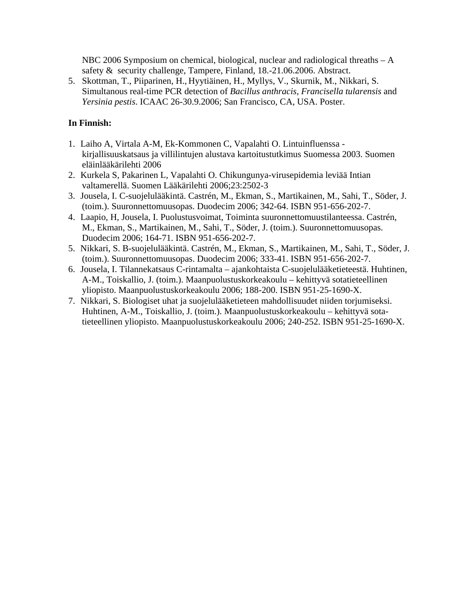NBC 2006 Symposium on chemical, biological, nuclear and radiological threaths – A safety & security challenge, Tampere, Finland, 18.-21.06.2006. Abstract.

5. Skottman, T., Piiparinen, H., Hyytiäinen, H., Myllys, V., Skurnik, M., Nikkari, S. Simultanous real-time PCR detection of *Bacillus anthracis*, *Francisella tularensis* and *Yersinia pestis*. ICAAC 26-30.9.2006; San Francisco, CA, USA. Poster.

## **In Finnish:**

- 1. Laiho A, Virtala A-M, Ek-Kommonen C, Vapalahti O. Lintuinfluenssa kirjallisuuskatsaus ja villilintujen alustava kartoitustutkimus Suomessa 2003. Suomen eläinlääkärilehti 2006
- 2. Kurkela S, Pakarinen L, Vapalahti O. Chikungunya-virusepidemia leviää Intian valtamerellä. Suomen Lääkärilehti 2006;23:2502-3
- 3. Jousela, I. C-suojelulääkintä. Castrén, M., Ekman, S., Martikainen, M., Sahi, T., Söder, J. (toim.). Suuronnettomuusopas. Duodecim 2006; 342-64. ISBN 951-656-202-7.
- 4. Laapio, H, Jousela, I. Puolustusvoimat, Toiminta suuronnettomuustilanteessa. Castrén, M., Ekman, S., Martikainen, M., Sahi, T., Söder, J. (toim.). Suuronnettomuusopas. Duodecim 2006; 164-71. ISBN 951-656-202-7.
- 5. Nikkari, S. B-suojelulääkintä. Castrén, M., Ekman, S., Martikainen, M., Sahi, T., Söder, J. (toim.). Suuronnettomuusopas. Duodecim 2006; 333-41. ISBN 951-656-202-7.
- 6. Jousela, I. Tilannekatsaus C-rintamalta ajankohtaista C-suojelulääketieteestä. Huhtinen, A-M., Toiskallio, J. (toim.). Maanpuolustuskorkeakoulu – kehittyvä sotatieteellinen yliopisto. Maanpuolustuskorkeakoulu 2006; 188-200. ISBN 951-25-1690-X.
- 7. Nikkari, S. Biologiset uhat ja suojelulääketieteen mahdollisuudet niiden torjumiseksi. Huhtinen, A-M., Toiskallio, J. (toim.). Maanpuolustuskorkeakoulu – kehittyvä sotatieteellinen yliopisto. Maanpuolustuskorkeakoulu 2006; 240-252. ISBN 951-25-1690-X.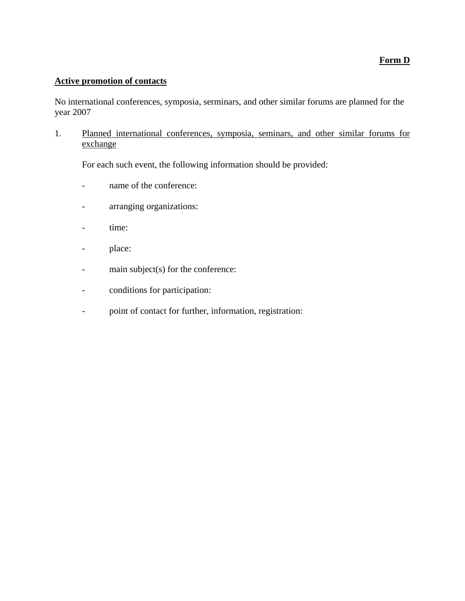### **Form D**

## **Active promotion of contacts**

No international conferences, symposia, serminars, and other similar forums are planned for the year 2007

1. Planned international conferences, symposia, seminars, and other similar forums for exchange

For each such event, the following information should be provided:

- name of the conference:
- arranging organizations:
- time:
- place:
- main subject(s) for the conference:
- conditions for participation:
- point of contact for further, information, registration: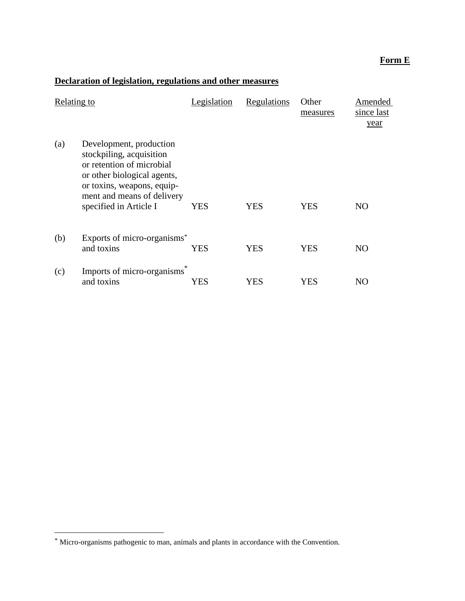## **Form E**

# **Declaration of legislation, regulations and other measures**

| Relating to |                                                                                                                                                                                                       | Legislation | Regulations | Other<br>measures | Amended<br>since last<br>year |
|-------------|-------------------------------------------------------------------------------------------------------------------------------------------------------------------------------------------------------|-------------|-------------|-------------------|-------------------------------|
| (a)         | Development, production<br>stockpiling, acquisition<br>or retention of microbial<br>or other biological agents,<br>or toxins, weapons, equip-<br>ment and means of delivery<br>specified in Article I | YES         | YES         | YES               | NO                            |
| (b)         | Exports of micro-organisms*<br>and toxins                                                                                                                                                             | YES         | YES         | YES               | NO                            |
| (c)         | Imports of micro-organisms<br>and toxins                                                                                                                                                              | YES         | YES         | YES               | NO                            |

1

<sup>\*</sup> Micro-organisms pathogenic to man, animals and plants in accordance with the Convention.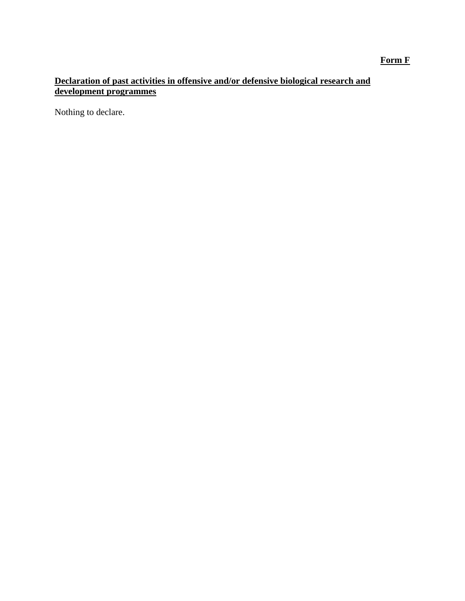## **Form F**

## **Declaration of past activities in offensive and/or defensive biological research and development programmes**

Nothing to declare.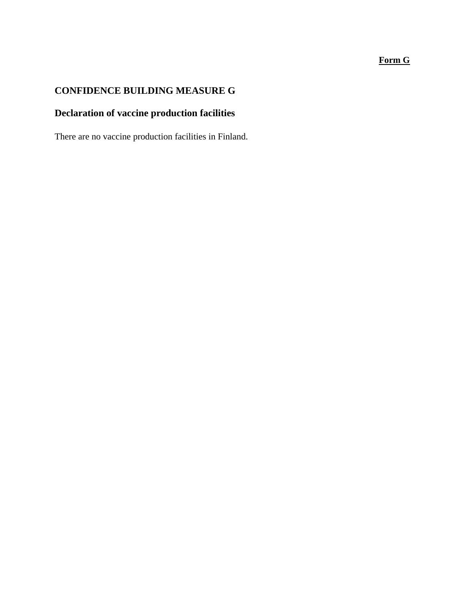## **Form G**

# **CONFIDENCE BUILDING MEASURE G**

# **Declaration of vaccine production facilities**

There are no vaccine production facilities in Finland.